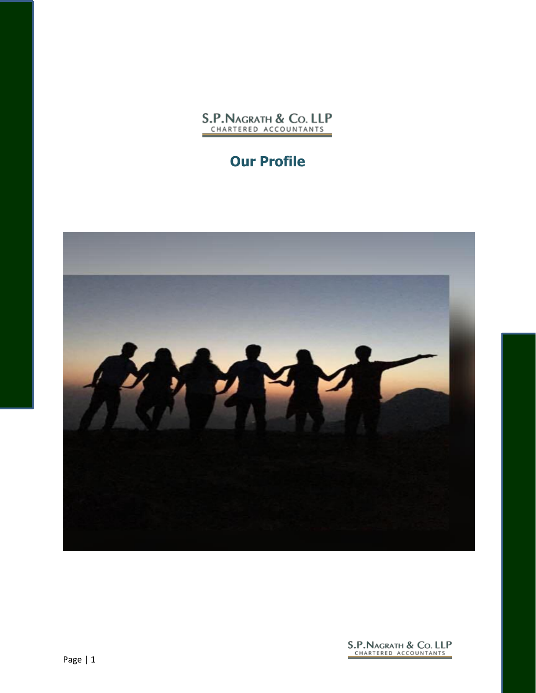

## **Our Profile**



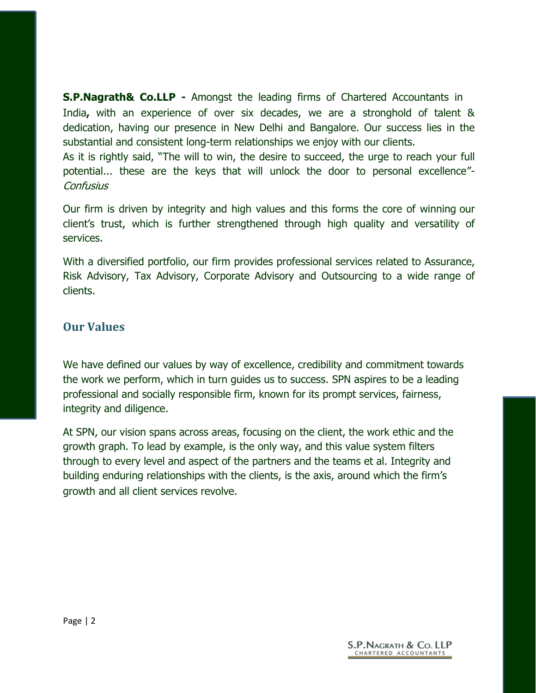**S.P.Nagrath& Co.LLP -** Amongst the leading firms of Chartered Accountants in India**,** with an experience of over six decades, we are a stronghold of talent & dedication, having our presence in New Delhi and Bangalore. Our success lies in the substantial and consistent long-term relationships we enjoy with our clients.

As it is rightly said, "The will to win, the desire to succeed, the urge to reach your full potential... these are the keys that will unlock the door to personal excellence"- **Confusius** 

Our firm is driven by integrity and high values and this forms the core of winning our client's trust, which is further strengthened through high quality and versatility of services.

With a diversified portfolio, our firm provides professional services related to Assurance, Risk Advisory, Tax Advisory, Corporate Advisory and Outsourcing to a wide range of clients.

#### **Our Values**

We have defined our values by way of excellence, credibility and commitment towards the work we perform, which in turn guides us to success. SPN aspires to be a leading professional and socially responsible firm, known for its prompt services, fairness, integrity and diligence.

At SPN, our vision spans across areas, focusing on the client, the work ethic and the growth graph. To lead by example, is the only way, and this value system filters through to every level and aspect of the partners and the teams et al. Integrity and building enduring relationships with the clients, is the axis, around which the firm's growth and all client services revolve.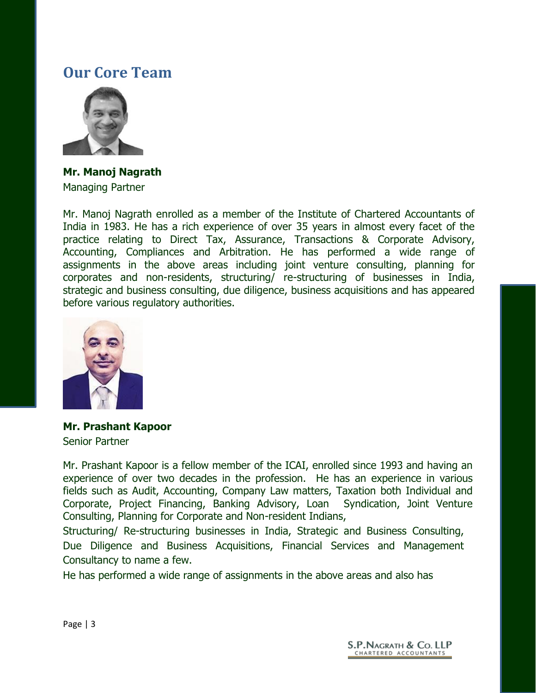## **Our Core Team**



**Mr. Manoj Nagrath** Managing Partner

Mr. Manoj Nagrath enrolled as a member of the Institute of Chartered Accountants of India in 1983. He has a rich experience of over 35 years in almost every facet of the practice relating to Direct Tax, Assurance, Transactions & Corporate Advisory, Accounting, Compliances and Arbitration. He has performed a wide range of assignments in the above areas including joint venture consulting, planning for corporates and non-residents, structuring/ re-structuring of businesses in India, strategic and business consulting, due diligence, business acquisitions and has appeared before various regulatory authorities.



**Mr. Prashant Kapoor** Senior Partner

Mr. Prashant Kapoor is a fellow member of the ICAI, enrolled since 1993 and having an experience of over two decades in the profession. He has an experience in various fields such as Audit, Accounting, Company Law matters, Taxation both Individual and Corporate, Project Financing, Banking Advisory, Loan Syndication, Joint Venture Consulting, Planning for Corporate and Non-resident Indians,

Structuring/ Re-structuring businesses in India, Strategic and Business Consulting, Due Diligence and Business Acquisitions, Financial Services and Management Consultancy to name a few.

He has performed a wide range of assignments in the above areas and also has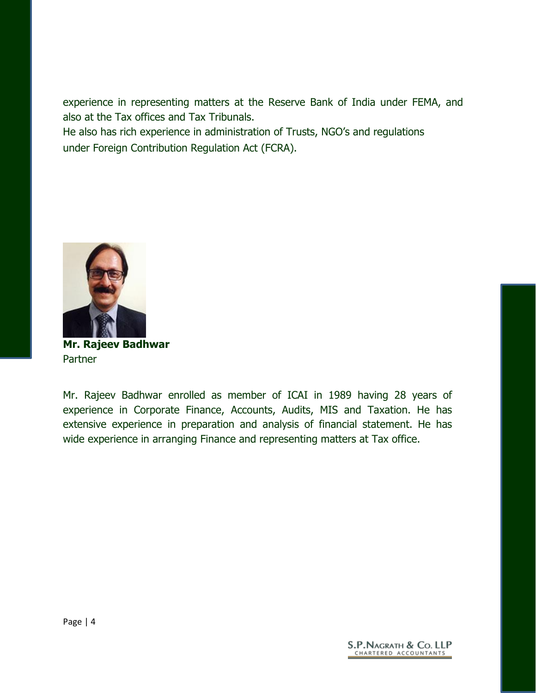experience in representing matters at the Reserve Bank of India under FEMA, and also at the Tax offices and Tax Tribunals.

He also has rich experience in administration of Trusts, NGO's and regulations under Foreign Contribution Regulation Act (FCRA).



**Mr. Rajeev Badhwar** Partner

Mr. Rajeev Badhwar enrolled as member of ICAI in 1989 having 28 years of experience in Corporate Finance, Accounts, Audits, MIS and Taxation. He has extensive experience in preparation and analysis of financial statement. He has wide experience in arranging Finance and representing matters at Tax office.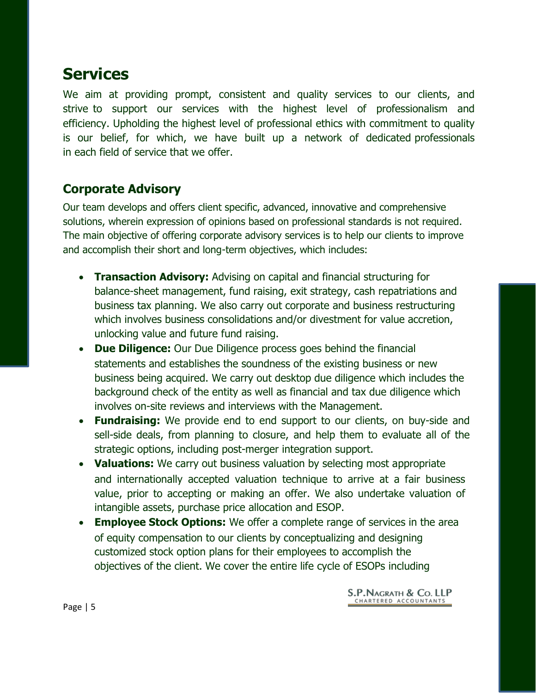# **Services**

We aim at providing prompt, consistent and quality services to our clients, and strive to support our services with the highest level of professionalism and efficiency. Upholding the highest level of professional ethics with commitment to quality is our belief, for which, we have built up a network of dedicated professionals in each field of service that we offer.

#### **Corporate Advisory**

Our team develops and offers client specific, advanced, innovative and comprehensive solutions, wherein expression of opinions based on professional standards is not required. The main objective of offering corporate advisory services is to help our clients to improve and accomplish their short and long-term objectives, which includes:

- **Transaction Advisory:** Advising on capital and financial structuring for balance-sheet management, fund raising, exit strategy, cash repatriations and business tax planning. We also carry out corporate and business restructuring which involves business consolidations and/or divestment for value accretion, unlocking value and future fund raising.
- **Due Diligence:** Our Due Diligence process goes behind the financial statements and establishes the soundness of the existing business or new business being acquired. We carry out desktop due diligence which includes the background check of the entity as well as financial and tax due diligence which involves on-site reviews and interviews with the Management.
- **Fundraising:** We provide end to end support to our clients, on buy-side and sell-side deals, from planning to closure, and help them to evaluate all of the strategic options, including post-merger integration support.
- **Valuations:** We carry out business valuation by selecting most appropriate and internationally accepted valuation technique to arrive at a fair business value, prior to accepting or making an offer. We also undertake valuation of intangible assets, purchase price allocation and ESOP.
- **Employee Stock Options:** We offer a complete range of services in the area of equity compensation to our clients by conceptualizing and designing customized stock option plans for their employees to accomplish the objectives of the client. We cover the entire life cycle of ESOPs including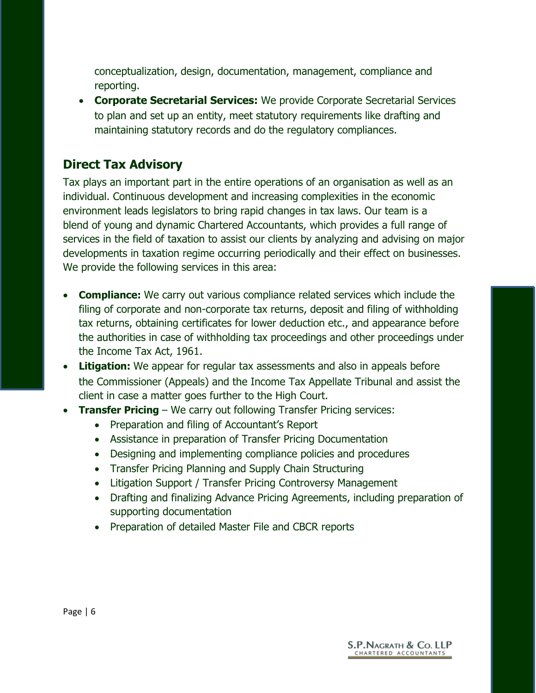conceptualization, design, documentation, management, compliance and reporting.

 **Corporate Secretarial Services:** We provide Corporate Secretarial Services to plan and set up an entity, meet statutory requirements like drafting and maintaining statutory records and do the regulatory compliances.

#### **Direct Tax Advisory**

Tax plays an important part in the entire operations of an organisation as well as an individual. Continuous development and increasing complexities in the economic environment leads legislators to bring rapid changes in tax laws. Our team is a blend of young and dynamic Chartered Accountants, which provides a full range of services in the field of taxation to assist our clients by analyzing and advising on major developments in taxation regime occurring periodically and their effect on businesses. We provide the following services in this area:

- **Compliance:** We carry out various compliance related services which include the filing of corporate and non-corporate tax returns, deposit and filing of withholding tax returns, obtaining certificates for lower deduction etc., and appearance before the authorities in case of withholding tax proceedings and other proceedings under the Income Tax Act, 1961.
- **Litigation:** We appear for regular tax assessments and also in appeals before the Commissioner (Appeals) and the Income Tax Appellate Tribunal and assist the client in case a matter goes further to the High Court.
- **Transfer Pricing** We carry out following Transfer Pricing services:
	- Preparation and filing of Accountant's Report
	- Assistance in preparation of Transfer Pricing Documentation
	- Designing and implementing compliance policies and procedures
	- Transfer Pricing Planning and Supply Chain Structuring
	- Litigation Support / Transfer Pricing Controversy Management
	- Drafting and finalizing Advance Pricing Agreements, including preparation of supporting documentation
	- Preparation of detailed Master File and CBCR reports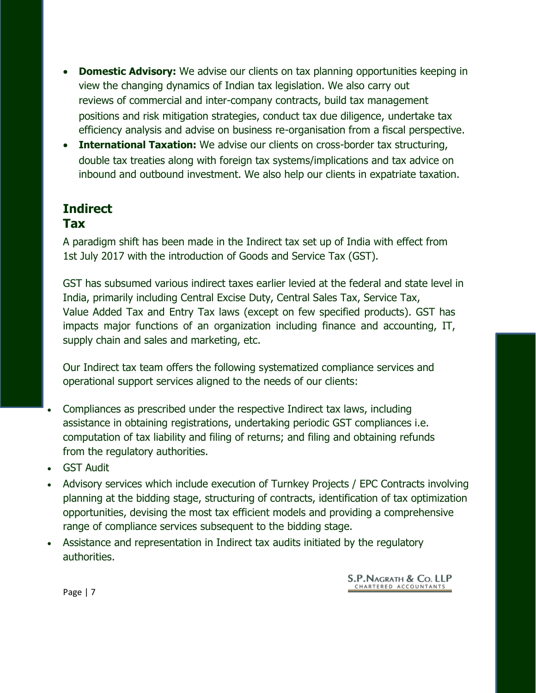- **Domestic Advisory:** We advise our clients on tax planning opportunities keeping in view the changing dynamics of Indian tax legislation. We also carry out reviews of commercial and inter-company contracts, build tax management positions and risk mitigation strategies, conduct tax due diligence, undertake tax efficiency analysis and advise on business re-organisation from a fiscal perspective.
- **International Taxation:** We advise our clients on cross-border tax structuring, double tax treaties along with foreign tax systems/implications and tax advice on inbound and outbound investment. We also help our clients in expatriate taxation.

#### **Indirect Tax**

A paradigm shift has been made in the Indirect tax set up of India with effect from 1st July 2017 with the introduction of Goods and Service Tax (GST).

GST has subsumed various indirect taxes earlier levied at the federal and state level in India, primarily including Central Excise Duty, Central Sales Tax, Service Tax, Value Added Tax and Entry Tax laws (except on few specified products). GST has impacts major functions of an organization including finance and accounting, IT, supply chain and sales and marketing, etc.

Our Indirect tax team offers the following systematized compliance services and operational support services aligned to the needs of our clients:

- Compliances as prescribed under the respective Indirect tax laws, including assistance in obtaining registrations, undertaking periodic GST compliances i.e. computation of tax liability and filing of returns; and filing and obtaining refunds from the regulatory authorities.
- GST Audit
- Advisory services which include execution of Turnkey Projects / EPC Contracts involving planning at the bidding stage, structuring of contracts, identification of tax optimization opportunities, devising the most tax efficient models and providing a comprehensive range of compliance services subsequent to the bidding stage.
- Assistance and representation in Indirect tax audits initiated by the regulatory authorities.

S.P. NAGRATH & Co. LLP CHARTERED ACCOUNTANTS

Page | 7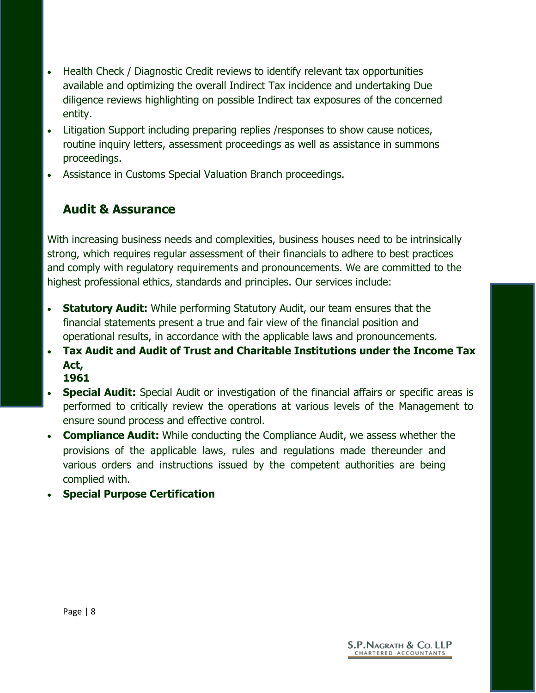- Health Check / Diagnostic Credit reviews to identify relevant tax opportunities available and optimizing the overall Indirect Tax incidence and undertaking Due diligence reviews highlighting on possible Indirect tax exposures of the concerned entity.
- Litigation Support including preparing replies /responses to show cause notices, routine inquiry letters, assessment proceedings as well as assistance in summons proceedings.
- Assistance in Customs Special Valuation Branch proceedings.

## **Audit & Assurance**

With increasing business needs and complexities, business houses need to be intrinsically strong, which requires regular assessment of their financials to adhere to best practices and comply with regulatory requirements and pronouncements. We are committed to the highest professional ethics, standards and principles. Our services include:

- **Statutory Audit:** While performing Statutory Audit, our team ensures that the financial statements present a true and fair view of the financial position and operational results, in accordance with the applicable laws and pronouncements.
- **Tax Audit and Audit of Trust and Charitable Institutions under the Income Tax Act, 1961**
- **Special Audit:** Special Audit or investigation of the financial affairs or specific areas is performed to critically review the operations at various levels of the Management to ensure sound process and effective control.
- **Compliance Audit:** While conducting the Compliance Audit, we assess whether the provisions of the applicable laws, rules and regulations made thereunder and various orders and instructions issued by the competent authorities are being complied with.
- **Special Purpose Certification**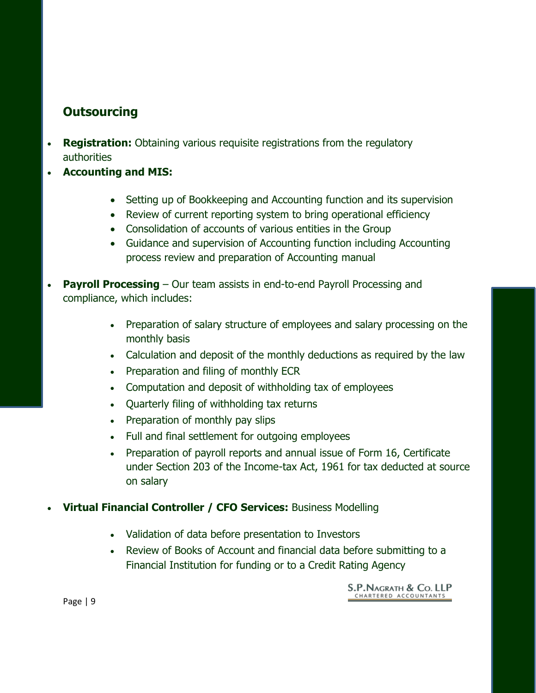### **Outsourcing**

- **Registration:** Obtaining various requisite registrations from the regulatory authorities
- **Accounting and MIS:**
	- Setting up of Bookkeeping and Accounting function and its supervision
	- Review of current reporting system to bring operational efficiency
	- Consolidation of accounts of various entities in the Group
	- Guidance and supervision of Accounting function including Accounting process review and preparation of Accounting manual
- **Payroll Processing** Our team assists in end-to-end Payroll Processing and compliance, which includes:
	- Preparation of salary structure of employees and salary processing on the monthly basis
	- Calculation and deposit of the monthly deductions as required by the law
	- Preparation and filing of monthly ECR
	- Computation and deposit of withholding tax of employees
	- Quarterly filing of withholding tax returns
	- Preparation of monthly pay slips
	- Full and final settlement for outgoing employees
	- Preparation of payroll reports and annual issue of Form 16, Certificate under Section 203 of the Income-tax Act, 1961 for tax deducted at source on salary
- **Virtual Financial Controller / CFO Services:** Business Modelling
	- Validation of data before presentation to Investors
	- Review of Books of Account and financial data before submitting to a Financial Institution for funding or to a Credit Rating Agency

Page | 9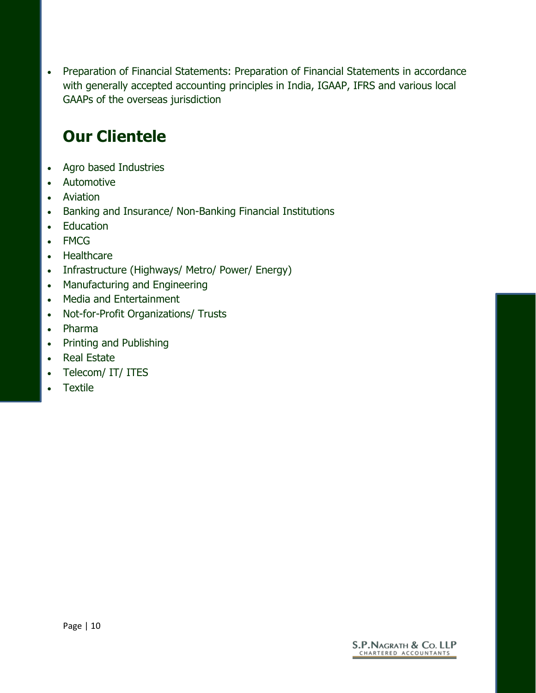• Preparation of Financial Statements: Preparation of Financial Statements in accordance with generally accepted accounting principles in India, IGAAP, IFRS and various local GAAPs of the overseas jurisdiction

# **Our Clientele**

- Agro based Industries
- Automotive
- Aviation
- Banking and Insurance/ Non-Banking Financial Institutions
- Education
- FMCG
- Healthcare
- Infrastructure (Highways/ Metro/ Power/ Energy)
- Manufacturing and Engineering
- Media and Entertainment
- Not-for-Profit Organizations/ Trusts
- Pharma
- Printing and Publishing
- Real Estate
- Telecom/ IT/ ITES
- **Textile**